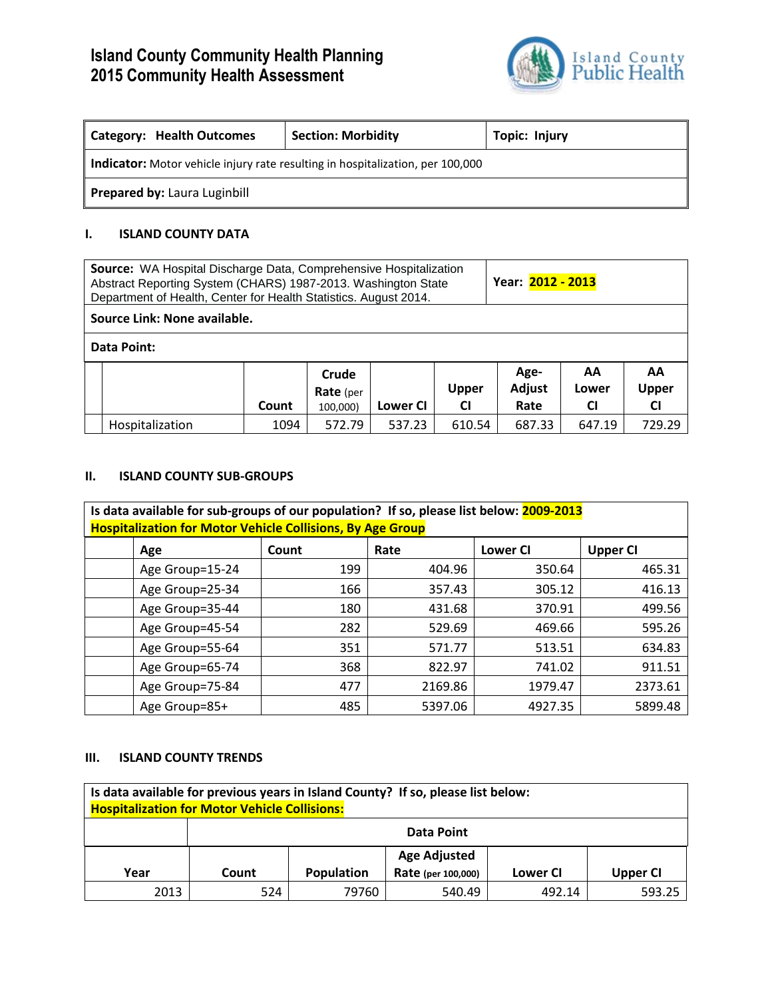# **Island County Community Health Planning 2015 Community Health Assessment**



| Category: Health Outcomes                                                             | <b>Section: Morbidity</b> | <b>Topic: Injury</b> |  |  |  |  |  |
|---------------------------------------------------------------------------------------|---------------------------|----------------------|--|--|--|--|--|
| <b>Indicator:</b> Motor vehicle injury rate resulting in hospitalization, per 100,000 |                           |                      |  |  |  |  |  |
| Prepared by: Laura Luginbill                                                          |                           |                      |  |  |  |  |  |

#### **I. ISLAND COUNTY DATA**

| <b>Source:</b> WA Hospital Discharge Data, Comprehensive Hospitalization<br>Abstract Reporting System (CHARS) 1987-2013. Washington State<br>Department of Health, Center for Health Statistics. August 2014. |                              |       |                                       |          |                           | Year: 2012 - 2013      |                          |                          |
|---------------------------------------------------------------------------------------------------------------------------------------------------------------------------------------------------------------|------------------------------|-------|---------------------------------------|----------|---------------------------|------------------------|--------------------------|--------------------------|
|                                                                                                                                                                                                               | Source Link: None available. |       |                                       |          |                           |                        |                          |                          |
| Data Point:                                                                                                                                                                                                   |                              |       |                                       |          |                           |                        |                          |                          |
|                                                                                                                                                                                                               |                              | Count | Crude<br><b>Rate</b> (per<br>100,000) | Lower CI | <b>Upper</b><br><b>CI</b> | Age-<br>Adjust<br>Rate | AA<br>Lower<br><b>CI</b> | AA<br>Upper<br><b>CI</b> |
|                                                                                                                                                                                                               | Hospitalization              | 1094  | 572.79                                | 537.23   | 610.54                    | 687.33                 | 647.19                   | 729.29                   |

#### **II. ISLAND COUNTY SUB-GROUPS**

| Is data available for sub-groups of our population? If so, please list below: 2009-2013 |       |         |                 |                 |  |  |  |  |
|-----------------------------------------------------------------------------------------|-------|---------|-----------------|-----------------|--|--|--|--|
| <b>Hospitalization for Motor Vehicle Collisions, By Age Group</b>                       |       |         |                 |                 |  |  |  |  |
| Age                                                                                     | Count | Rate    | <b>Lower CI</b> | <b>Upper CI</b> |  |  |  |  |
| Age Group=15-24                                                                         | 199   | 404.96  | 350.64          | 465.31          |  |  |  |  |
| Age Group=25-34                                                                         | 166   | 357.43  | 305.12          | 416.13          |  |  |  |  |
| Age Group=35-44                                                                         | 180   | 431.68  | 370.91          | 499.56          |  |  |  |  |
| Age Group=45-54                                                                         | 282   | 529.69  | 469.66          | 595.26          |  |  |  |  |
| Age Group=55-64                                                                         | 351   | 571.77  | 513.51          | 634.83          |  |  |  |  |
| Age Group=65-74                                                                         | 368   | 822.97  | 741.02          | 911.51          |  |  |  |  |
| Age Group=75-84                                                                         | 477   | 2169.86 | 1979.47         | 2373.61         |  |  |  |  |
| Age Group=85+                                                                           | 485   | 5397.06 | 4927.35         | 5899.48         |  |  |  |  |

### **III. ISLAND COUNTY TRENDS**

| Is data available for previous years in Island County? If so, please list below:<br><b>Hospitalization for Motor Vehicle Collisions:</b> |                                                                          |                   |        |        |        |  |  |  |
|------------------------------------------------------------------------------------------------------------------------------------------|--------------------------------------------------------------------------|-------------------|--------|--------|--------|--|--|--|
|                                                                                                                                          |                                                                          | <b>Data Point</b> |        |        |        |  |  |  |
|                                                                                                                                          | <b>Age Adjusted</b>                                                      |                   |        |        |        |  |  |  |
| Year                                                                                                                                     | <b>Population</b><br>Rate (per 100,000)<br>Lower CI<br>Upper CI<br>Count |                   |        |        |        |  |  |  |
| 2013                                                                                                                                     | 524                                                                      | 79760             | 540.49 | 492.14 | 593.25 |  |  |  |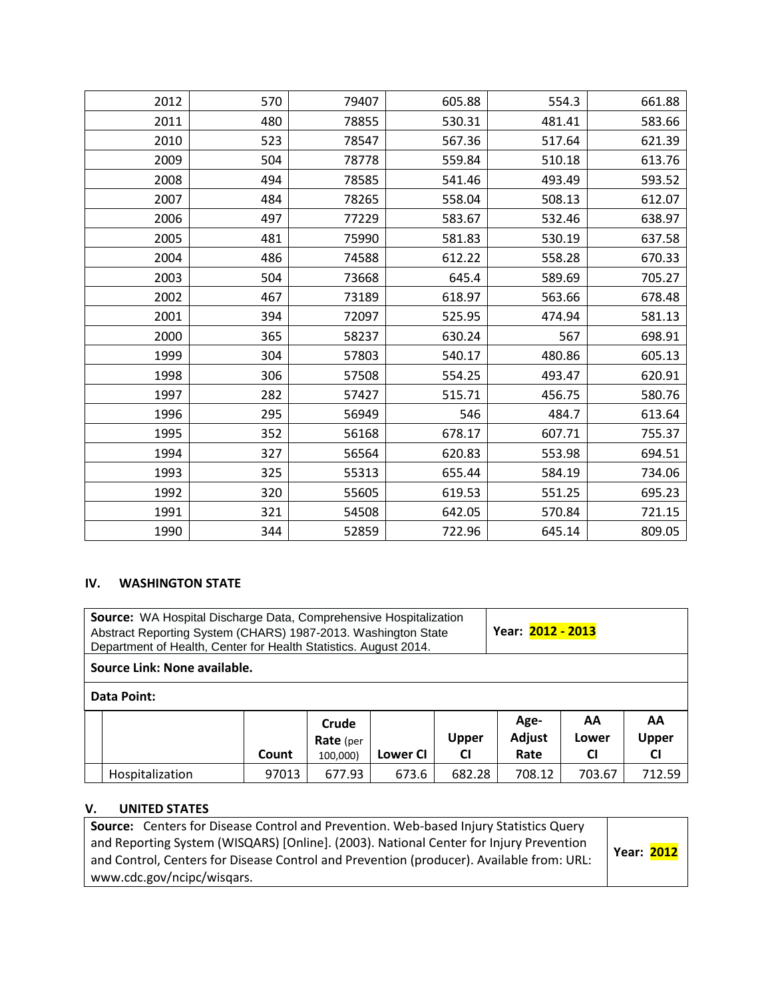| 2012 | 570 | 79407 | 605.88 | 554.3  | 661.88 |
|------|-----|-------|--------|--------|--------|
| 2011 | 480 | 78855 | 530.31 | 481.41 | 583.66 |
| 2010 | 523 | 78547 | 567.36 | 517.64 | 621.39 |
| 2009 | 504 | 78778 | 559.84 | 510.18 | 613.76 |
| 2008 | 494 | 78585 | 541.46 | 493.49 | 593.52 |
| 2007 | 484 | 78265 | 558.04 | 508.13 | 612.07 |
| 2006 | 497 | 77229 | 583.67 | 532.46 | 638.97 |
| 2005 | 481 | 75990 | 581.83 | 530.19 | 637.58 |
| 2004 | 486 | 74588 | 612.22 | 558.28 | 670.33 |
| 2003 | 504 | 73668 | 645.4  | 589.69 | 705.27 |
| 2002 | 467 | 73189 | 618.97 | 563.66 | 678.48 |
| 2001 | 394 | 72097 | 525.95 | 474.94 | 581.13 |
| 2000 | 365 | 58237 | 630.24 | 567    | 698.91 |
| 1999 | 304 | 57803 | 540.17 | 480.86 | 605.13 |
| 1998 | 306 | 57508 | 554.25 | 493.47 | 620.91 |
| 1997 | 282 | 57427 | 515.71 | 456.75 | 580.76 |
| 1996 | 295 | 56949 | 546    | 484.7  | 613.64 |
| 1995 | 352 | 56168 | 678.17 | 607.71 | 755.37 |
| 1994 | 327 | 56564 | 620.83 | 553.98 | 694.51 |
| 1993 | 325 | 55313 | 655.44 | 584.19 | 734.06 |
| 1992 | 320 | 55605 | 619.53 | 551.25 | 695.23 |
| 1991 | 321 | 54508 | 642.05 | 570.84 | 721.15 |
| 1990 | 344 | 52859 | 722.96 | 645.14 | 809.05 |

### **IV. WASHINGTON STATE**

| Source: WA Hospital Discharge Data, Comprehensive Hospitalization<br>Abstract Reporting System (CHARS) 1987-2013. Washington State<br>Department of Health, Center for Health Statistics. August 2014. |                              |       |                                       |          |                           | Year: 2012 - 2013      |                          |                                 |
|--------------------------------------------------------------------------------------------------------------------------------------------------------------------------------------------------------|------------------------------|-------|---------------------------------------|----------|---------------------------|------------------------|--------------------------|---------------------------------|
|                                                                                                                                                                                                        | Source Link: None available. |       |                                       |          |                           |                        |                          |                                 |
|                                                                                                                                                                                                        | Data Point:                  |       |                                       |          |                           |                        |                          |                                 |
|                                                                                                                                                                                                        |                              | Count | Crude<br><b>Rate</b> (per<br>100,000) | Lower CI | <b>Upper</b><br><b>CI</b> | Age-<br>Adjust<br>Rate | AA<br>Lower<br><b>CI</b> | AA<br><b>Upper</b><br><b>CI</b> |
|                                                                                                                                                                                                        | Hospitalization              | 97013 | 677.93                                | 673.6    | 682.28                    | 708.12                 | 703.67                   | 712.59                          |

# **V. UNITED STATES**

| Source: Centers for Disease Control and Prevention. Web-based Injury Statistics Query<br>and Reporting System (WISQARS) [Online]. (2003). National Center for Injury Prevention<br>and Control, Centers for Disease Control and Prevention (producer). Available from: URL: | Year: 2012 |
|-----------------------------------------------------------------------------------------------------------------------------------------------------------------------------------------------------------------------------------------------------------------------------|------------|
| www.cdc.gov/ncipc/wisqars.                                                                                                                                                                                                                                                  |            |